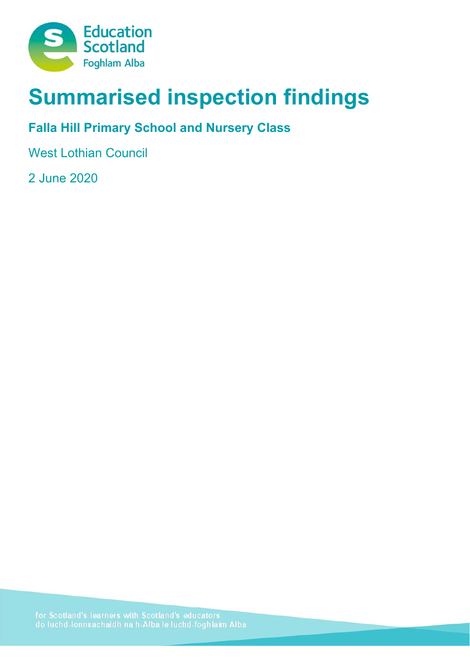

# **Summarised inspection findings**

# **Falla Hill Primary School and Nursery Class**

West Lothian Council

2 June 2020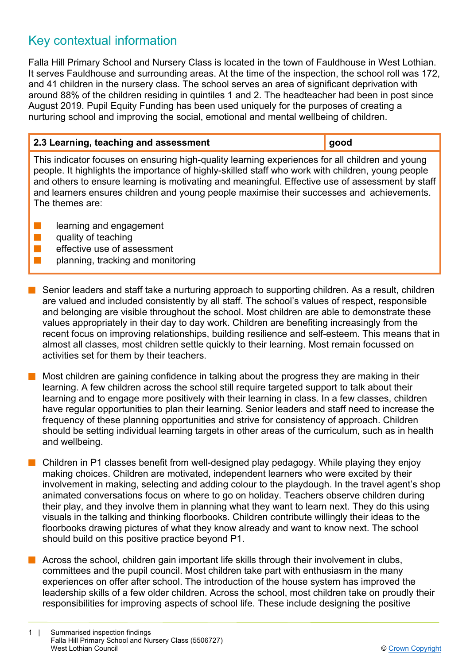## Key contextual information

Falla Hill Primary School and Nursery Class is located in the town of Fauldhouse in West Lothian. It serves Fauldhouse and surrounding areas. At the time of the inspection, the school roll was 172, and 41 children in the nursery class. The school serves an area of significant deprivation with around 88% of the children residing in quintiles 1 and 2. The headteacher had been in post since August 2019. Pupil Equity Funding has been used uniquely for the purposes of creating a nurturing school and improving the social, emotional and mental wellbeing of children.

## **2.3 Learning, teaching and assessment good good** This indicator focuses on ensuring high-quality learning experiences for all children and young people. It highlights the importance of highly-skilled staff who work with children, young people and others to ensure learning is motivating and meaningful. Effective use of assessment by staff and learners ensures children and young people maximise their successes and achievements. The themes are:  $\blacksquare$  learning and engagement

- $\blacksquare$  quality of teaching
- $\blacksquare$  effective use of assessment
- $\blacksquare$  planning, tracking and monitoring
- Senior leaders and staff take a nurturing approach to supporting children. As a result, children are valued and included consistently by all staff. The school's values of respect, responsible and belonging are visible throughout the school. Most children are able to demonstrate these values appropriately in their day to day work. Children are benefiting increasingly from the recent focus on improving relationships, building resilience and self-esteem. This means that in almost all classes, most children settle quickly to their learning. Most remain focussed on activities set for them by their teachers.
- Most children are gaining confidence in talking about the progress they are making in their learning. A few children across the school still require targeted support to talk about their learning and to engage more positively with their learning in class. In a few classes, children have regular opportunities to plan their learning. Senior leaders and staff need to increase the frequency of these planning opportunities and strive for consistency of approach. Children should be setting individual learning targets in other areas of the curriculum, such as in health and wellbeing.
- n Children in P1 classes benefit from well-designed play pedagogy. While playing they enjoy making choices. Children are motivated, independent learners who were excited by their involvement in making, selecting and adding colour to the playdough. In the travel agent's shop animated conversations focus on where to go on holiday. Teachers observe children during their play, and they involve them in planning what they want to learn next. They do this using visuals in the talking and thinking floorbooks. Children contribute willingly their ideas to the floorbooks drawing pictures of what they know already and want to know next. The school should build on this positive practice beyond P1.
- n Across the school, children gain important life skills through their involvement in clubs, committees and the pupil council. Most children take part with enthusiasm in the many experiences on offer after school. The introduction of the house system has improved the leadership skills of a few older children. Across the school, most children take on proudly their responsibilities for improving aspects of school life. These include designing the positive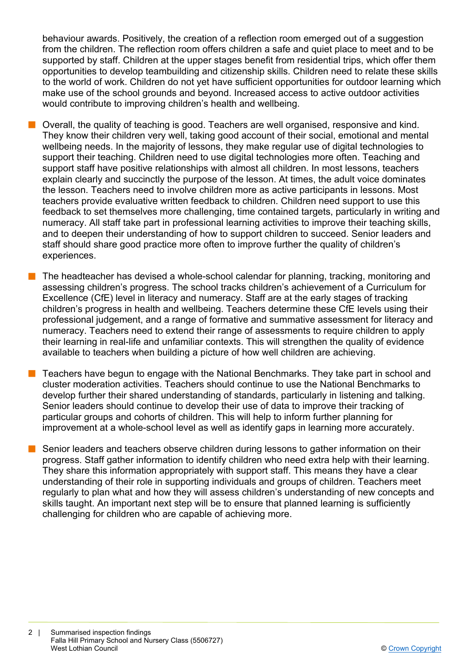behaviour awards. Positively, the creation of a reflection room emerged out of a suggestion from the children. The reflection room offers children a safe and quiet place to meet and to be supported by staff. Children at the upper stages benefit from residential trips, which offer them opportunities to develop teambuilding and citizenship skills. Children need to relate these skills to the world of work. Children do not yet have sufficient opportunities for outdoor learning which make use of the school grounds and beyond. Increased access to active outdoor activities would contribute to improving children's health and wellbeing.

- $\blacksquare$  Overall, the quality of teaching is good. Teachers are well organised, responsive and kind. They know their children very well, taking good account of their social, emotional and mental wellbeing needs. In the majority of lessons, they make regular use of digital technologies to support their teaching. Children need to use digital technologies more often. Teaching and support staff have positive relationships with almost all children. In most lessons, teachers explain clearly and succinctly the purpose of the lesson. At times, the adult voice dominates the lesson. Teachers need to involve children more as active participants in lessons. Most teachers provide evaluative written feedback to children. Children need support to use this feedback to set themselves more challenging, time contained targets, particularly in writing and numeracy. All staff take part in professional learning activities to improve their teaching skills, and to deepen their understanding of how to support children to succeed. Senior leaders and staff should share good practice more often to improve further the quality of children's experiences.
- The headteacher has devised a whole-school calendar for planning, tracking, monitoring and assessing children's progress. The school tracks children's achievement of a Curriculum for Excellence (CfE) level in literacy and numeracy. Staff are at the early stages of tracking children's progress in health and wellbeing. Teachers determine these CfE levels using their professional judgement, and a range of formative and summative assessment for literacy and numeracy. Teachers need to extend their range of assessments to require children to apply their learning in real-life and unfamiliar contexts. This will strengthen the quality of evidence available to teachers when building a picture of how well children are achieving.
- $\blacksquare$  Teachers have begun to engage with the National Benchmarks. They take part in school and cluster moderation activities. Teachers should continue to use the National Benchmarks to develop further their shared understanding of standards, particularly in listening and talking. Senior leaders should continue to develop their use of data to improve their tracking of particular groups and cohorts of children. This will help to inform further planning for improvement at a whole-school level as well as identify gaps in learning more accurately.
- **n** Senior leaders and teachers observe children during lessons to gather information on their progress. Staff gather information to identify children who need extra help with their learning. They share this information appropriately with support staff. This means they have a clear understanding of their role in supporting individuals and groups of children. Teachers meet regularly to plan what and how they will assess children's understanding of new concepts and skills taught. An important next step will be to ensure that planned learning is sufficiently challenging for children who are capable of achieving more.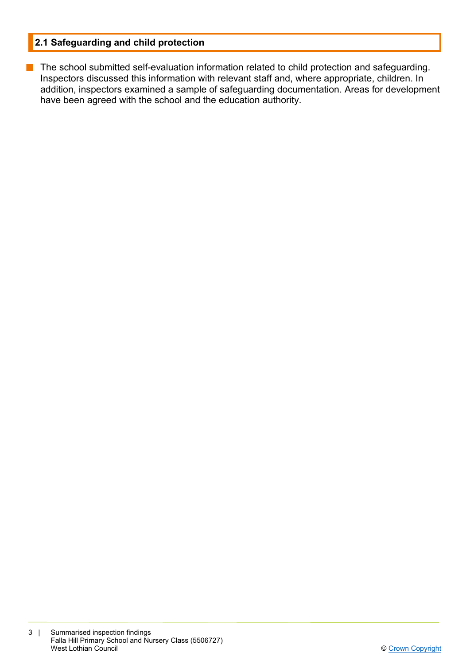## **2.1 Safeguarding and child protection**

**n** The school submitted self-evaluation information related to child protection and safeguarding. Inspectors discussed this information with relevant staff and, where appropriate, children. In addition, inspectors examined a sample of safeguarding documentation. Areas for development have been agreed with the school and the education authority.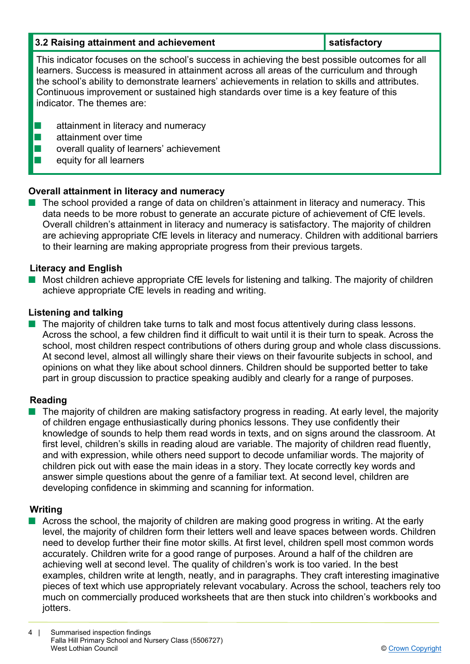| 3.2 Raising attainment and achievement                                                                                                                                                                                                                                                                                                                                                                                  | satisfactory |  |
|-------------------------------------------------------------------------------------------------------------------------------------------------------------------------------------------------------------------------------------------------------------------------------------------------------------------------------------------------------------------------------------------------------------------------|--------------|--|
| This indicator focuses on the school's success in achieving the best possible outcomes for all<br>learners. Success is measured in attainment across all areas of the curriculum and through<br>the school's ability to demonstrate learners' achievements in relation to skills and attributes.<br>Continuous improvement or sustained high standards over time is a key feature of this<br>indicator. The themes are: |              |  |
| attainment in literacy and numeracy<br>attainment over time<br>overall quality of learners' achievement<br>equity for all learners                                                                                                                                                                                                                                                                                      |              |  |

### **Overall attainment in literacy and numeracy**

n The school provided a range of data on children's attainment in literacy and numeracy. This data needs to be more robust to generate an accurate picture of achievement of CfE levels. Overall children's attainment in literacy and numeracy is satisfactory. The majority of children are achieving appropriate CfE levels in literacy and numeracy. Children with additional barriers to their learning are making appropriate progress from their previous targets.

#### **Literacy and English**

 $\blacksquare$  Most children achieve appropriate CfE levels for listening and talking. The majority of children achieve appropriate CfE levels in reading and writing.

#### **Listening and talking**

 $\blacksquare$  The majority of children take turns to talk and most focus attentively during class lessons. Across the school, a few children find it difficult to wait until it is their turn to speak. Across the school, most children respect contributions of others during group and whole class discussions. At second level, almost all willingly share their views on their favourite subjects in school, and opinions on what they like about school dinners. Children should be supported better to take part in group discussion to practice speaking audibly and clearly for a range of purposes.

#### **Reading**

**n** The majority of children are making satisfactory progress in reading. At early level, the majority of children engage enthusiastically during phonics lessons. They use confidently their knowledge of sounds to help them read words in texts, and on signs around the classroom. At first level, children's skills in reading aloud are variable. The majority of children read fluently, and with expression, while others need support to decode unfamiliar words. The majority of children pick out with ease the main ideas in a story. They locate correctly key words and answer simple questions about the genre of a familiar text. At second level, children are developing confidence in skimming and scanning for information.

#### **Writing**

■ Across the school, the majority of children are making good progress in writing. At the early level, the majority of children form their letters well and leave spaces between words. Children need to develop further their fine motor skills. At first level, children spell most common words accurately. Children write for a good range of purposes. Around a half of the children are achieving well at second level. The quality of children's work is too varied. In the best examples, children write at length, neatly, and in paragraphs. They craft interesting imaginative pieces of text which use appropriately relevant vocabulary. Across the school, teachers rely too much on commercially produced worksheets that are then stuck into children's workbooks and jotters.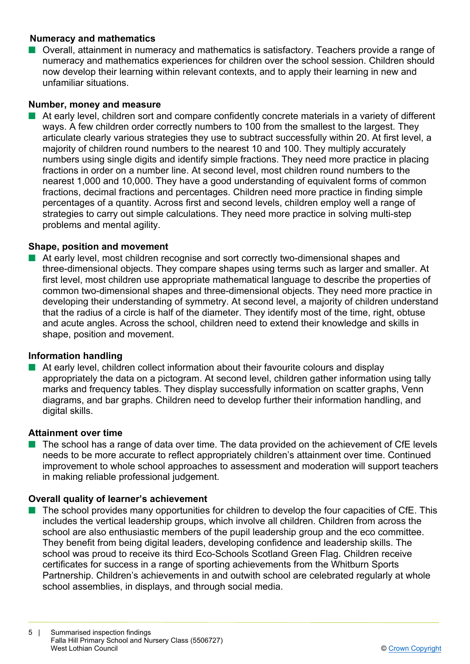#### **Numeracy and mathematics**

■ Overall, attainment in numeracy and mathematics is satisfactory. Teachers provide a range of numeracy and mathematics experiences for children over the school session. Children should now develop their learning within relevant contexts, and to apply their learning in new and unfamiliar situations.

#### **Number, money and measure**

■ At early level, children sort and compare confidently concrete materials in a variety of different ways. A few children order correctly numbers to 100 from the smallest to the largest. They articulate clearly various strategies they use to subtract successfully within 20. At first level, a majority of children round numbers to the nearest 10 and 100. They multiply accurately numbers using single digits and identify simple fractions. They need more practice in placing fractions in order on a number line. At second level, most children round numbers to the nearest 1,000 and 10,000. They have a good understanding of equivalent forms of common fractions, decimal fractions and percentages. Children need more practice in finding simple percentages of a quantity. Across first and second levels, children employ well a range of strategies to carry out simple calculations. They need more practice in solving multi-step problems and mental agility.

#### **Shape, position and movement**

At early level, most children recognise and sort correctly two-dimensional shapes and three-dimensional objects. They compare shapes using terms such as larger and smaller. At first level, most children use appropriate mathematical language to describe the properties of common two-dimensional shapes and three-dimensional objects. They need more practice in developing their understanding of symmetry. At second level, a majority of children understand that the radius of a circle is half of the diameter. They identify most of the time, right, obtuse and acute angles. Across the school, children need to extend their knowledge and skills in shape, position and movement.

#### **Information handling**

 $\blacksquare$  At early level, children collect information about their favourite colours and display appropriately the data on a pictogram. At second level, children gather information using tally marks and frequency tables. They display successfully information on scatter graphs, Venn diagrams, and bar graphs. Children need to develop further their information handling, and digital skills.

#### **Attainment over time**

The school has a range of data over time. The data provided on the achievement of CfE levels needs to be more accurate to reflect appropriately children's attainment over time. Continued improvement to whole school approaches to assessment and moderation will support teachers in making reliable professional judgement.

#### **Overall quality of learner's achievement**

 $\blacksquare$  The school provides many opportunities for children to develop the four capacities of CfE. This includes the vertical leadership groups, which involve all children. Children from across the school are also enthusiastic members of the pupil leadership group and the eco committee. They benefit from being digital leaders, developing confidence and leadership skills. The school was proud to receive its third Eco-Schools Scotland Green Flag. Children receive certificates for success in a range of sporting achievements from the Whitburn Sports Partnership. Children's achievements in and outwith school are celebrated regularly at whole school assemblies, in displays, and through social media.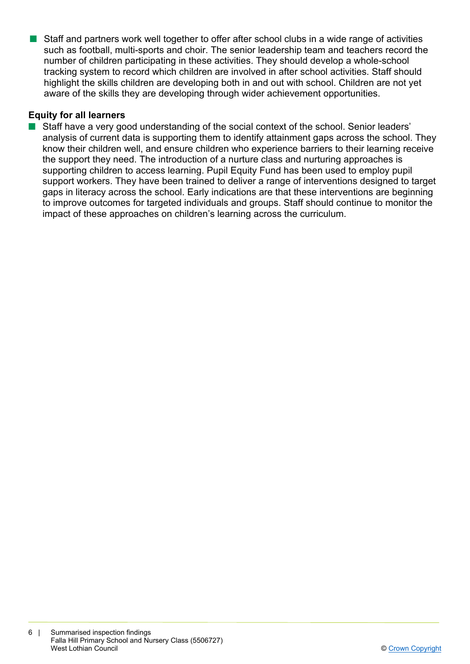**n** Staff and partners work well together to offer after school clubs in a wide range of activities such as football, multi-sports and choir. The senior leadership team and teachers record the number of children participating in these activities. They should develop a whole-school tracking system to record which children are involved in after school activities. Staff should highlight the skills children are developing both in and out with school. Children are not yet aware of the skills they are developing through wider achievement opportunities.

#### **Equity for all learners**

Staff have a very good understanding of the social context of the school. Senior leaders' analysis of current data is supporting them to identify attainment gaps across the school. They know their children well, and ensure children who experience barriers to their learning receive the support they need. The introduction of a nurture class and nurturing approaches is supporting children to access learning. Pupil Equity Fund has been used to employ pupil support workers. They have been trained to deliver a range of interventions designed to target gaps in literacy across the school. Early indications are that these interventions are beginning to improve outcomes for targeted individuals and groups. Staff should continue to monitor the impact of these approaches on children's learning across the curriculum.